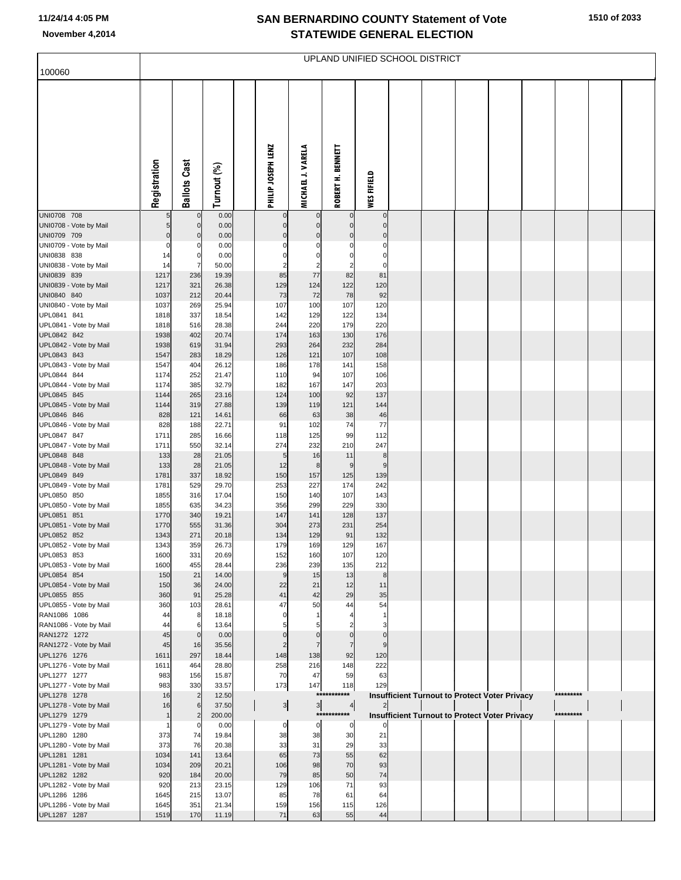## **SAN BERNARDINO COUNTY Statement of Vote November 4,2014 STATEWIDE GENERAL ELECTION**

| 100060                                 | UPLAND UNIFIED SCHOOL DISTRICT |                     |                |  |                    |                      |                       |                         |  |  |  |                                                      |  |           |  |
|----------------------------------------|--------------------------------|---------------------|----------------|--|--------------------|----------------------|-----------------------|-------------------------|--|--|--|------------------------------------------------------|--|-----------|--|
|                                        |                                |                     |                |  |                    |                      |                       |                         |  |  |  |                                                      |  |           |  |
|                                        |                                |                     |                |  |                    |                      |                       |                         |  |  |  |                                                      |  |           |  |
|                                        |                                |                     |                |  |                    |                      |                       |                         |  |  |  |                                                      |  |           |  |
|                                        |                                |                     |                |  |                    |                      |                       |                         |  |  |  |                                                      |  |           |  |
|                                        |                                |                     |                |  |                    |                      |                       |                         |  |  |  |                                                      |  |           |  |
|                                        |                                |                     |                |  |                    |                      |                       |                         |  |  |  |                                                      |  |           |  |
|                                        | Registration                   | <b>Ballots Cast</b> | Turnout (%)    |  | PHILIP JOSEPH LENZ | MICHAEL J. VARELA    | ROBERT H. BENNETT     | WES FIFIELD             |  |  |  |                                                      |  |           |  |
| UNI0708 708                            |                                |                     | 0.00           |  |                    |                      |                       | $\mathbf 0$             |  |  |  |                                                      |  |           |  |
| UNI0708 - Vote by Mail                 | 5                              | $\mathbf{0}$        | 0.00           |  | $\Omega$           | $\Omega$             | $\Omega$              | $\mathbf 0$             |  |  |  |                                                      |  |           |  |
| UNI0709 709<br>UNI0709 - Vote by Mail  | $\mathbf 0$<br>$\mathbf 0$     | $\mathbf 0$         | 0.00<br>0.00   |  | $\Omega$           | $\mathbf 0$<br>C     | $\mathbf 0$<br>C      | $\mathbf 0$<br>$\Omega$ |  |  |  |                                                      |  |           |  |
| UNI0838 838                            | 14                             | 0                   | 0.00           |  | C                  | $\Omega$             | $\Omega$              | $\Omega$                |  |  |  |                                                      |  |           |  |
| UNI0838 - Vote by Mail<br>UNI0839 839  | 14                             |                     | 50.00          |  | 2                  | $\overline{2}$<br>77 | $\overline{2}$        | $\Omega$                |  |  |  |                                                      |  |           |  |
| UNI0839 - Vote by Mail                 | 1217<br>1217                   | 236<br>321          | 19.39<br>26.38 |  | 85<br>129          | 124                  | 82<br>122             | 81<br>120               |  |  |  |                                                      |  |           |  |
| UNI0840 840                            | 1037                           | 212                 | 20.44          |  | 73                 | 72                   | 78                    | 92                      |  |  |  |                                                      |  |           |  |
| UNI0840 - Vote by Mail                 | 1037                           | 269                 | 25.94          |  | 107                | 100                  | 107                   | 120                     |  |  |  |                                                      |  |           |  |
| UPL0841 841<br>UPL0841 - Vote by Mail  | 1818<br>1818                   | 337<br>516          | 18.54<br>28.38 |  | 142<br>244         | 129<br>220           | 122<br>179            | 134<br>220              |  |  |  |                                                      |  |           |  |
| UPL0842 842                            | 1938                           | 402                 | 20.74          |  | 174                | 163                  | 130                   | 176                     |  |  |  |                                                      |  |           |  |
| UPL0842 - Vote by Mail                 | 1938                           | 619                 | 31.94          |  | 293                | 264                  | 232                   | 284                     |  |  |  |                                                      |  |           |  |
| UPL0843 843                            | 1547                           | 283                 | 18.29          |  | 126                | 121                  | 107                   | 108                     |  |  |  |                                                      |  |           |  |
| UPL0843 - Vote by Mail<br>UPL0844 844  | 1547<br>1174                   | 404<br>252          | 26.12<br>21.47 |  | 186<br>110         | 178<br>94            | 141<br>107            | 158<br>106              |  |  |  |                                                      |  |           |  |
| UPL0844 - Vote by Mail                 | 1174                           | 385                 | 32.79          |  | 182                | 167                  | 147                   | 203                     |  |  |  |                                                      |  |           |  |
| UPL0845 845                            | 1144                           | 265                 | 23.16          |  | 124                | 100                  | 92                    | 137                     |  |  |  |                                                      |  |           |  |
| UPL0845 - Vote by Mail<br>UPL0846 846  | 1144<br>828                    | 319<br>121          | 27.88<br>14.61 |  | 139<br>66          | 119<br>63            | 121<br>38             | 144<br>46               |  |  |  |                                                      |  |           |  |
| UPL0846 - Vote by Mail                 | 828                            | 188                 | 22.71          |  | 91                 | 102                  | 74                    | 77                      |  |  |  |                                                      |  |           |  |
| UPL0847 847                            | 1711                           | 285                 | 16.66          |  | 118                | 125                  | 99                    | 112                     |  |  |  |                                                      |  |           |  |
| UPL0847 - Vote by Mail<br>UPL0848 848  | 1711<br>133                    | 550<br>28           | 32.14<br>21.05 |  | 274<br>5           | 232<br>16            | 210<br>11             | 247<br>8                |  |  |  |                                                      |  |           |  |
| UPL0848 - Vote by Mail                 | 133                            | 28                  | 21.05          |  | 12                 | 8                    | 9                     | 9                       |  |  |  |                                                      |  |           |  |
| UPL0849 849                            | 1781                           | 337                 | 18.92          |  | 150                | 157                  | 125                   | 139                     |  |  |  |                                                      |  |           |  |
| UPL0849 - Vote by Mail<br>UPL0850 850  | 1781<br>1855                   | 529<br>316          | 29.70<br>17.04 |  | 253<br>150         | 227<br>140           | 174<br>107            | 242<br>143              |  |  |  |                                                      |  |           |  |
| UPL0850 - Vote by Mail                 | 1855                           | 635                 | 34.23          |  | 356                | 299                  | 229                   | 330                     |  |  |  |                                                      |  |           |  |
| UPL0851 851                            | 1770                           | 340                 | 19.21          |  | 147                | 141                  | 128                   | 137                     |  |  |  |                                                      |  |           |  |
| UPL0851 - Vote by Mail<br>UPL0852 852  | 1770<br>1343                   | 555<br>271          | 31.36<br>20.18 |  | 304<br>134         | 273<br>129           | 231<br>91             | 254<br>132              |  |  |  |                                                      |  |           |  |
| UPL0852 - Vote by Mail                 | 1343                           | 359                 | 26.73          |  | 179                | 169                  | 129                   | 167                     |  |  |  |                                                      |  |           |  |
| UPL0853 853                            | 1600                           | 331                 | 20.69          |  | 152                | 160                  | 107                   | 120                     |  |  |  |                                                      |  |           |  |
| UPL0853 - Vote by Mail                 | 1600                           | 455                 | 28.44          |  | 236                | 239                  | 135                   | 212                     |  |  |  |                                                      |  |           |  |
| UPL0854 854<br>UPL0854 - Vote by Mail  | 150<br>150                     | 21<br>36            | 14.00<br>24.00 |  | 9<br>22            | 15<br>21             | 13<br>12              | 8<br>11                 |  |  |  |                                                      |  |           |  |
| UPL0855 855                            | 360                            | 91                  | 25.28          |  | 41                 | 42                   | 29                    | 35                      |  |  |  |                                                      |  |           |  |
| UPL0855 - Vote by Mail                 | 360                            | 103                 | 28.61          |  | 47                 | 50                   | 44                    | 54                      |  |  |  |                                                      |  |           |  |
| RAN1086 1086<br>RAN1086 - Vote by Mail | 44<br>44                       | 8<br>6              | 18.18<br>13.64 |  | $\mathsf{C}$       |                      |                       |                         |  |  |  |                                                      |  |           |  |
| RAN1272 1272                           | 45                             | $\Omega$            | 0.00           |  |                    | C                    |                       | $\Omega$                |  |  |  |                                                      |  |           |  |
| RAN1272 - Vote by Mail                 | 45                             | 16                  | 35.56          |  | $\overline{2}$     | $\overline{7}$       | $\overline{7}$        | 9                       |  |  |  |                                                      |  |           |  |
| UPL1276 1276<br>UPL1276 - Vote by Mail | 1611<br>1611                   | 297<br>464          | 18.44<br>28.80 |  | 148<br>258         | 138<br>216           | 92<br>148             | 120<br>222              |  |  |  |                                                      |  |           |  |
| UPL1277 1277                           | 983                            | 156                 | 15.87          |  | 70                 | 47                   | 59                    | 63                      |  |  |  |                                                      |  |           |  |
| UPL1277 - Vote by Mail                 | 983                            | 330                 | 33.57          |  | 173                | 147                  | 118                   | 129                     |  |  |  |                                                      |  |           |  |
| UPL1278 1278<br>UPL1278 - Vote by Mail | 16<br>16                       | $\overline{c}$<br>6 | 12.50<br>37.50 |  |                    | ***<br>3             | ***<br>$\overline{4}$ |                         |  |  |  | Insufficient Turnout to Protect Voter Privacy        |  | ********* |  |
| UPL1279 1279                           |                                | $\overline{2}$      | 200.00         |  | $\mathbf{3}$       |                      | ***********           |                         |  |  |  | <b>Insufficient Turnout to Protect Voter Privacy</b> |  | ********* |  |
| UPL1279 - Vote by Mail                 |                                |                     | 0.00           |  | 0                  | 0                    | 0                     |                         |  |  |  |                                                      |  |           |  |
| UPL1280 1280                           | 373<br>373                     | 74<br>76            | 19.84<br>20.38 |  | 38<br>33           | 38<br>31             | 30<br>29              | 21<br>33                |  |  |  |                                                      |  |           |  |
| UPL1280 - Vote by Mail<br>UPL1281 1281 | 1034                           | 141                 | 13.64          |  | 65                 | 73                   | 55                    | 62                      |  |  |  |                                                      |  |           |  |
| UPL1281 - Vote by Mail                 | 1034                           | 209                 | 20.21          |  | 106                | 98                   | 70                    | 93                      |  |  |  |                                                      |  |           |  |
| UPL1282 1282                           | 920                            | 184                 | 20.00          |  | 79                 | 85                   | 50                    | 74                      |  |  |  |                                                      |  |           |  |
| UPL1282 - Vote by Mail<br>UPL1286 1286 | 920<br>1645                    | 213<br>215          | 23.15<br>13.07 |  | 129<br>85          | 106<br>78            | 71<br>61              | 93<br>64                |  |  |  |                                                      |  |           |  |
| UPL1286 - Vote by Mail                 | 1645                           | 351                 | 21.34          |  | 159                | 156                  | 115                   | 126                     |  |  |  |                                                      |  |           |  |
| UPL1287 1287                           | 1519                           | 170                 | 11.19          |  | 71                 | 63                   | 55                    | 44                      |  |  |  |                                                      |  |           |  |